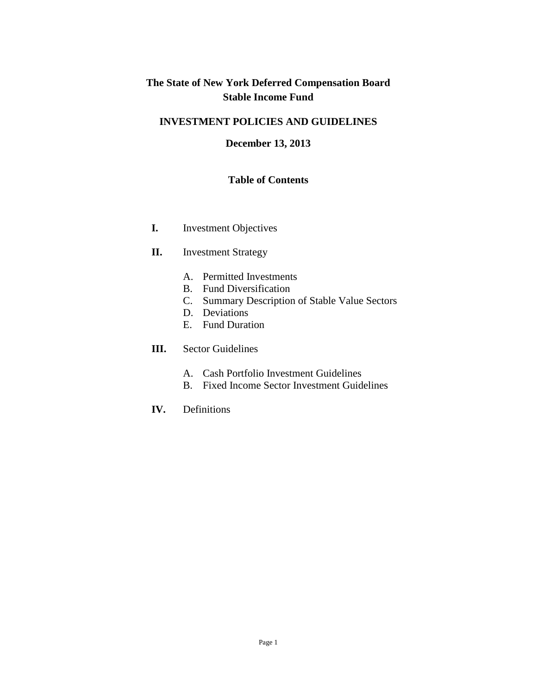# **The State of New York Deferred Compensation Board Stable Income Fund**

### **INVESTMENT POLICIES AND GUIDELINES**

#### **December 13, 2013**

#### **Table of Contents**

- **I.** Investment Objectives
- **II.** Investment Strategy
	- A. Permitted Investments
	- B. Fund Diversification
	- C. Summary Description of Stable Value Sectors
	- D. Deviations
	- E. Fund Duration
- **III.** Sector Guidelines
	- A. Cash Portfolio Investment Guidelines
	- B. Fixed Income Sector Investment Guidelines
- **IV.** Definitions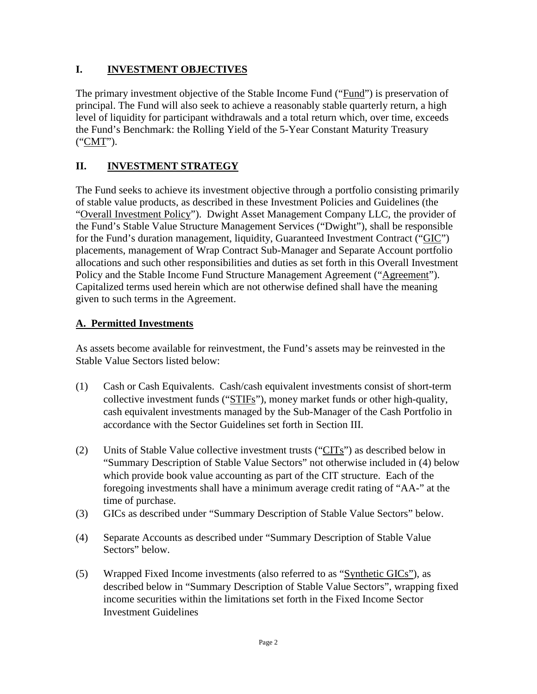## **I. INVESTMENT OBJECTIVES**

The primary investment objective of the Stable Income Fund ("Fund") is preservation of principal. The Fund will also seek to achieve a reasonably stable quarterly return, a high level of liquidity for participant withdrawals and a total return which, over time, exceeds the Fund's Benchmark: the Rolling Yield of the 5-Year Constant Maturity Treasury ("CMT").

# **II. INVESTMENT STRATEGY**

The Fund seeks to achieve its investment objective through a portfolio consisting primarily of stable value products, as described in these Investment Policies and Guidelines (the "Overall Investment Policy"). Dwight Asset Management Company LLC, the provider of the Fund's Stable Value Structure Management Services ("Dwight"), shall be responsible for the Fund's duration management, liquidity, Guaranteed Investment Contract ("GIC") placements, management of Wrap Contract Sub-Manager and Separate Account portfolio allocations and such other responsibilities and duties as set forth in this Overall Investment Policy and the Stable Income Fund Structure Management Agreement ("Agreement"). Capitalized terms used herein which are not otherwise defined shall have the meaning given to such terms in the Agreement.

### **A. Permitted Investments**

As assets become available for reinvestment, the Fund's assets may be reinvested in the Stable Value Sectors listed below:

- (1) Cash or Cash Equivalents. Cash/cash equivalent investments consist of short-term collective investment funds ("STIFs"), money market funds or other high-quality, cash equivalent investments managed by the Sub-Manager of the Cash Portfolio in accordance with the Sector Guidelines set forth in Section III.
- (2) Units of Stable Value collective investment trusts ("CITs") as described below in "Summary Description of Stable Value Sectors" not otherwise included in (4) below which provide book value accounting as part of the CIT structure. Each of the foregoing investments shall have a minimum average credit rating of "AA-" at the time of purchase.
- (3) GICs as described under "Summary Description of Stable Value Sectors" below.
- (4) Separate Accounts as described under "Summary Description of Stable Value Sectors" below.
- (5) Wrapped Fixed Income investments (also referred to as "Synthetic GICs"), as described below in "Summary Description of Stable Value Sectors", wrapping fixed income securities within the limitations set forth in the Fixed Income Sector Investment Guidelines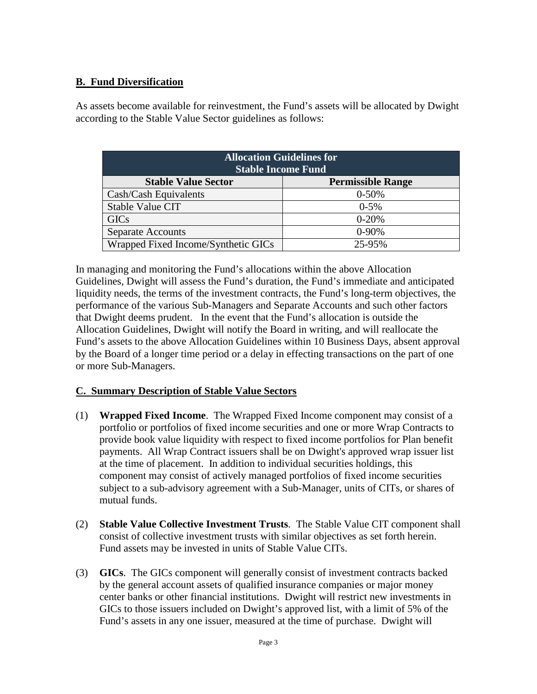## **B. Fund Diversification**

As assets become available for reinvestment, the Fund's assets will be allocated by Dwight according to the Stable Value Sector guidelines as follows:

| <b>Allocation Guidelines for</b><br><b>Stable Income Fund</b> |                          |  |  |
|---------------------------------------------------------------|--------------------------|--|--|
| <b>Stable Value Sector</b>                                    | <b>Permissible Range</b> |  |  |
| Cash/Cash Equivalents                                         | $0 - 50%$                |  |  |
| Stable Value CIT                                              | $0 - 5\%$                |  |  |
| <b>GICs</b>                                                   | $0 - 20%$                |  |  |
| <b>Separate Accounts</b>                                      | $0-90%$                  |  |  |
| Wrapped Fixed Income/Synthetic GICs                           | 25-95%                   |  |  |

In managing and monitoring the Fund's allocations within the above Allocation Guidelines, Dwight will assess the Fund's duration, the Fund's immediate and anticipated liquidity needs, the terms of the investment contracts, the Fund's long-term objectives, the performance of the various Sub-Managers and Separate Accounts and such other factors that Dwight deems prudent. In the event that the Fund's allocation is outside the Allocation Guidelines, Dwight will notify the Board in writing, and will reallocate the Fund's assets to the above Allocation Guidelines within 10 Business Days, absent approval by the Board of a longer time period or a delay in effecting transactions on the part of one or more Sub-Managers.

### **C. Summary Description of Stable Value Sectors**

- (1) **Wrapped Fixed Income**. The Wrapped Fixed Income component may consist of a portfolio or portfolios of fixed income securities and one or more Wrap Contracts to provide book value liquidity with respect to fixed income portfolios for Plan benefit payments. All Wrap Contract issuers shall be on Dwight's approved wrap issuer list at the time of placement. In addition to individual securities holdings, this component may consist of actively managed portfolios of fixed income securities subject to a sub-advisory agreement with a Sub-Manager, units of CITs, or shares of mutual funds.
- (2) **Stable Value Collective Investment Trusts**. The Stable Value CIT component shall consist of collective investment trusts with similar objectives as set forth herein. Fund assets may be invested in units of Stable Value CITs.
- (3) **GICs**. The GICs component will generally consist of investment contracts backed by the general account assets of qualified insurance companies or major money center banks or other financial institutions. Dwight will restrict new investments in GICs to those issuers included on Dwight's approved list, with a limit of 5% of the Fund's assets in any one issuer, measured at the time of purchase. Dwight will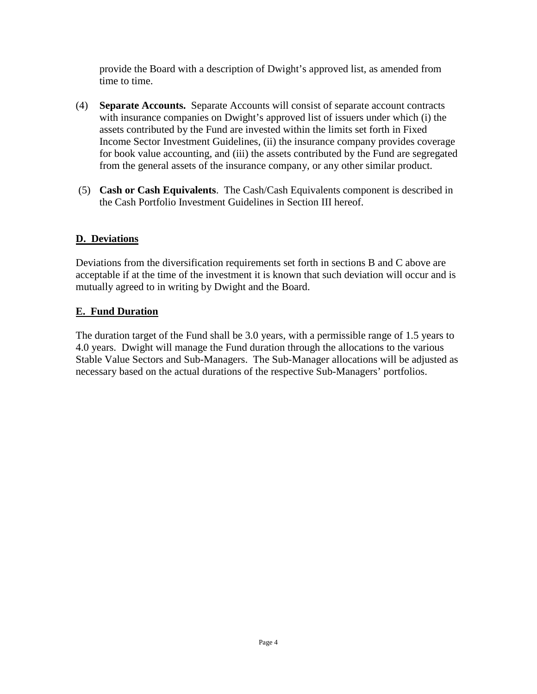provide the Board with a description of Dwight's approved list, as amended from time to time.

- (4) **Separate Accounts.** Separate Accounts will consist of separate account contracts with insurance companies on Dwight's approved list of issuers under which (i) the assets contributed by the Fund are invested within the limits set forth in Fixed Income Sector Investment Guidelines, (ii) the insurance company provides coverage for book value accounting, and (iii) the assets contributed by the Fund are segregated from the general assets of the insurance company, or any other similar product.
- (5) **Cash or Cash Equivalents**. The Cash/Cash Equivalents component is described in the Cash Portfolio Investment Guidelines in Section III hereof.

### **D. Deviations**

Deviations from the diversification requirements set forth in sections B and C above are acceptable if at the time of the investment it is known that such deviation will occur and is mutually agreed to in writing by Dwight and the Board.

### **E. Fund Duration**

The duration target of the Fund shall be 3.0 years, with a permissible range of 1.5 years to 4.0 years. Dwight will manage the Fund duration through the allocations to the various Stable Value Sectors and Sub-Managers. The Sub-Manager allocations will be adjusted as necessary based on the actual durations of the respective Sub-Managers' portfolios.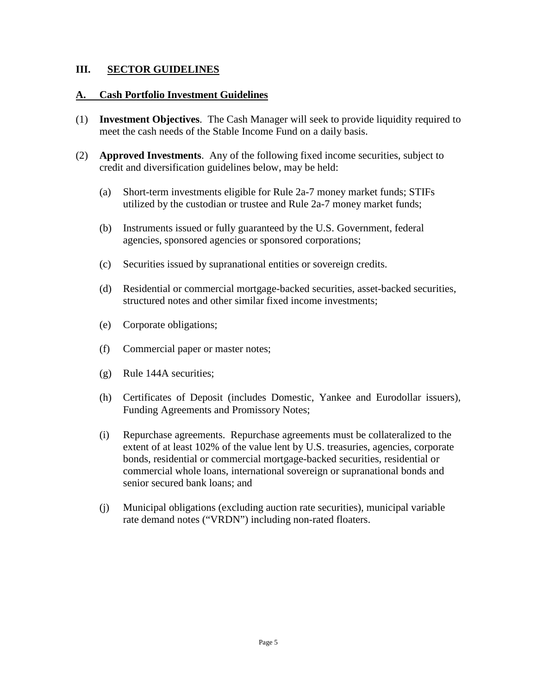#### **III. SECTOR GUIDELINES**

#### **A. Cash Portfolio Investment Guidelines**

- (1) **Investment Objectives**. The Cash Manager will seek to provide liquidity required to meet the cash needs of the Stable Income Fund on a daily basis.
- (2) **Approved Investments**. Any of the following fixed income securities, subject to credit and diversification guidelines below, may be held:
	- (a) Short-term investments eligible for Rule 2a-7 money market funds; STIFs utilized by the custodian or trustee and Rule 2a-7 money market funds;
	- (b) Instruments issued or fully guaranteed by the U.S. Government, federal agencies, sponsored agencies or sponsored corporations;
	- (c) Securities issued by supranational entities or sovereign credits.
	- (d) Residential or commercial mortgage-backed securities, asset-backed securities, structured notes and other similar fixed income investments;
	- (e) Corporate obligations;
	- (f) Commercial paper or master notes;
	- (g) Rule 144A securities;
	- (h) Certificates of Deposit (includes Domestic, Yankee and Eurodollar issuers), Funding Agreements and Promissory Notes;
	- (i) Repurchase agreements. Repurchase agreements must be collateralized to the extent of at least 102% of the value lent by U.S. treasuries, agencies, corporate bonds, residential or commercial mortgage-backed securities, residential or commercial whole loans, international sovereign or supranational bonds and senior secured bank loans; and
	- (j) Municipal obligations (excluding auction rate securities), municipal variable rate demand notes ("VRDN") including non-rated floaters.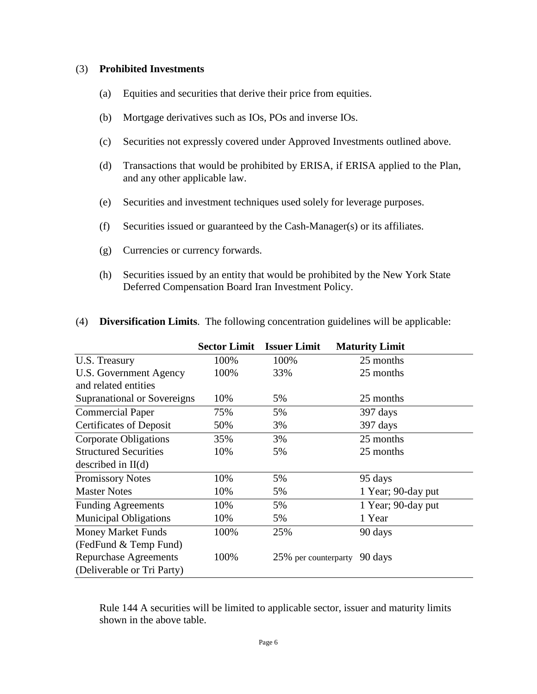#### (3) **Prohibited Investments**

- (a) Equities and securities that derive their price from equities.
- (b) Mortgage derivatives such as IOs, POs and inverse IOs.
- (c) Securities not expressly covered under Approved Investments outlined above.
- (d) Transactions that would be prohibited by ERISA, if ERISA applied to the Plan, and any other applicable law.
- (e) Securities and investment techniques used solely for leverage purposes.
- (f) Securities issued or guaranteed by the Cash-Manager(s) or its affiliates.
- (g) Currencies or currency forwards.
- (h) Securities issued by an entity that would be prohibited by the New York State Deferred Compensation Board Iran Investment Policy.

|                                | <b>Sector Limit</b> | <b>Issuer Limit</b>  | <b>Maturity Limit</b> |
|--------------------------------|---------------------|----------------------|-----------------------|
| U.S. Treasury                  | 100%                | 100%                 | 25 months             |
| U.S. Government Agency         | 100%                | 33%                  | 25 months             |
| and related entities           |                     |                      |                       |
| Supranational or Sovereigns    | 10%                 | 5%                   | 25 months             |
| <b>Commercial Paper</b>        | 75%                 | 5%                   | 397 days              |
| <b>Certificates of Deposit</b> | 50%                 | 3%                   | 397 days              |
| <b>Corporate Obligations</b>   | 35%                 | 3%                   | 25 months             |
| <b>Structured Securities</b>   | 10%                 | 5%                   | 25 months             |
| described in $II(d)$           |                     |                      |                       |
| <b>Promissory Notes</b>        | 10%                 | 5%                   | 95 days               |
| <b>Master Notes</b>            | 10%                 | 5%                   | 1 Year; 90-day put    |
| <b>Funding Agreements</b>      | 10%                 | 5%                   | 1 Year; 90-day put    |
| <b>Municipal Obligations</b>   | 10%                 | 5%                   | 1 Year                |
| <b>Money Market Funds</b>      | 100%                | 25%                  | 90 days               |
| (FedFund & Temp Fund)          |                     |                      |                       |
| <b>Repurchase Agreements</b>   | 100%                | 25% per counterparty | 90 days               |
| (Deliverable or Tri Party)     |                     |                      |                       |

(4) **Diversification Limits**. The following concentration guidelines will be applicable:

Rule 144 A securities will be limited to applicable sector, issuer and maturity limits shown in the above table.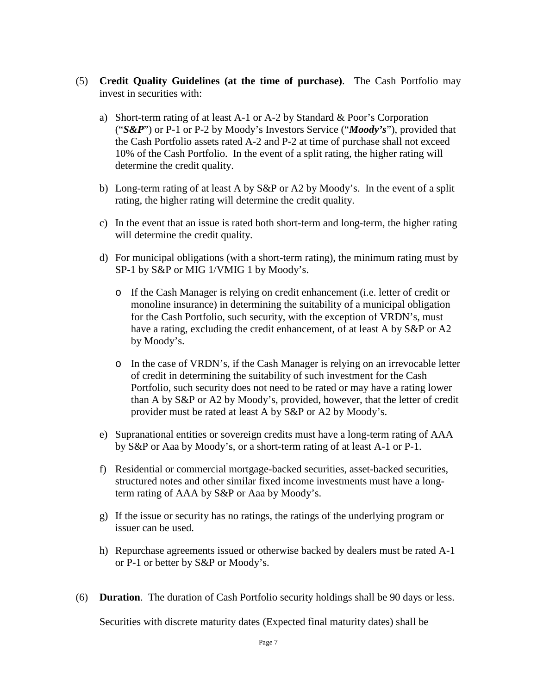- (5) **Credit Quality Guidelines (at the time of purchase)**. The Cash Portfolio may invest in securities with:
	- a) Short-term rating of at least A-1 or A-2 by Standard & Poor's Corporation ("*S&P*") or P-1 or P-2 by Moody's Investors Service ("*Moody's*"), provided that the Cash Portfolio assets rated A-2 and P-2 at time of purchase shall not exceed 10% of the Cash Portfolio. In the event of a split rating, the higher rating will determine the credit quality.
	- b) Long-term rating of at least A by S&P or A2 by Moody's. In the event of a split rating, the higher rating will determine the credit quality.
	- c) In the event that an issue is rated both short-term and long-term, the higher rating will determine the credit quality.
	- d) For municipal obligations (with a short-term rating), the minimum rating must by SP-1 by S&P or MIG 1/VMIG 1 by Moody's.
		- o If the Cash Manager is relying on credit enhancement (i.e. letter of credit or monoline insurance) in determining the suitability of a municipal obligation for the Cash Portfolio, such security, with the exception of VRDN's, must have a rating, excluding the credit enhancement, of at least A by S&P or A2 by Moody's.
		- o In the case of VRDN's, if the Cash Manager is relying on an irrevocable letter of credit in determining the suitability of such investment for the Cash Portfolio, such security does not need to be rated or may have a rating lower than A by S&P or A2 by Moody's, provided, however, that the letter of credit provider must be rated at least A by S&P or A2 by Moody's.
	- e) Supranational entities or sovereign credits must have a long-term rating of AAA by S&P or Aaa by Moody's, or a short-term rating of at least A-1 or P-1.
	- f) Residential or commercial mortgage-backed securities, asset-backed securities, structured notes and other similar fixed income investments must have a longterm rating of AAA by S&P or Aaa by Moody's.
	- g) If the issue or security has no ratings, the ratings of the underlying program or issuer can be used.
	- h) Repurchase agreements issued or otherwise backed by dealers must be rated A-1 or P-1 or better by S&P or Moody's.
- (6) **Duration**. The duration of Cash Portfolio security holdings shall be 90 days or less.

Securities with discrete maturity dates (Expected final maturity dates) shall be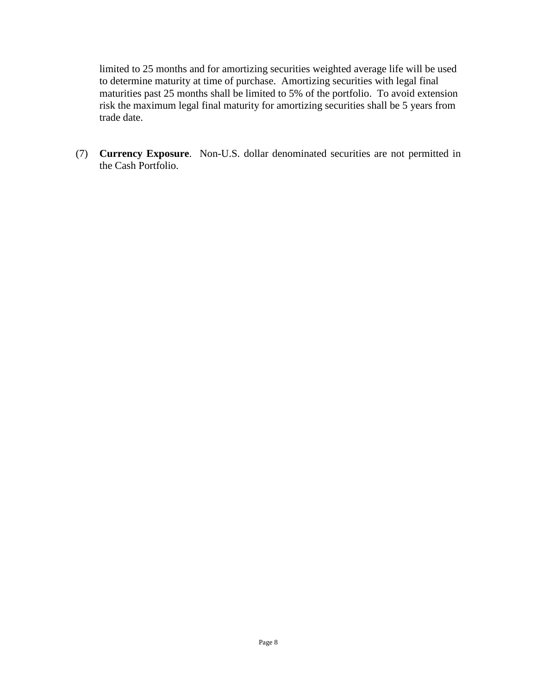limited to 25 months and for amortizing securities weighted average life will be used to determine maturity at time of purchase. Amortizing securities with legal final maturities past 25 months shall be limited to 5% of the portfolio. To avoid extension risk the maximum legal final maturity for amortizing securities shall be 5 years from trade date.

(7) **Currency Exposure**. Non-U.S. dollar denominated securities are not permitted in the Cash Portfolio.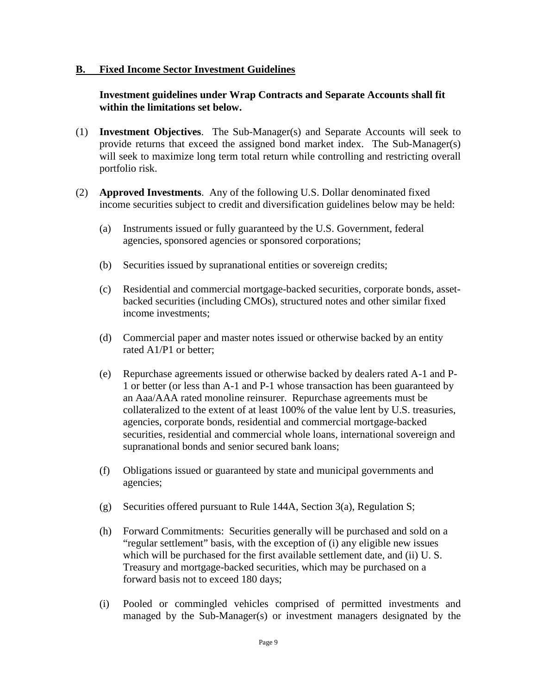#### **B. Fixed Income Sector Investment Guidelines**

### **Investment guidelines under Wrap Contracts and Separate Accounts shall fit within the limitations set below.**

- (1) **Investment Objectives**. The Sub-Manager(s) and Separate Accounts will seek to provide returns that exceed the assigned bond market index. The Sub-Manager(s) will seek to maximize long term total return while controlling and restricting overall portfolio risk.
- (2) **Approved Investments**. Any of the following U.S. Dollar denominated fixed income securities subject to credit and diversification guidelines below may be held:
	- (a) Instruments issued or fully guaranteed by the U.S. Government, federal agencies, sponsored agencies or sponsored corporations;
	- (b) Securities issued by supranational entities or sovereign credits;
	- (c) Residential and commercial mortgage-backed securities, corporate bonds, assetbacked securities (including CMOs), structured notes and other similar fixed income investments;
	- (d) Commercial paper and master notes issued or otherwise backed by an entity rated A1/P1 or better;
	- (e) Repurchase agreements issued or otherwise backed by dealers rated A-1 and P-1 or better (or less than A-1 and P-1 whose transaction has been guaranteed by an Aaa/AAA rated monoline reinsurer. Repurchase agreements must be collateralized to the extent of at least 100% of the value lent by U.S. treasuries, agencies, corporate bonds, residential and commercial mortgage-backed securities, residential and commercial whole loans, international sovereign and supranational bonds and senior secured bank loans;
	- (f) Obligations issued or guaranteed by state and municipal governments and agencies;
	- (g) Securities offered pursuant to Rule 144A, Section 3(a), Regulation S;
	- (h) Forward Commitments: Securities generally will be purchased and sold on a "regular settlement" basis, with the exception of (i) any eligible new issues which will be purchased for the first available settlement date, and (ii) U.S. Treasury and mortgage-backed securities, which may be purchased on a forward basis not to exceed 180 days;
	- (i) Pooled or commingled vehicles comprised of permitted investments and managed by the Sub-Manager(s) or investment managers designated by the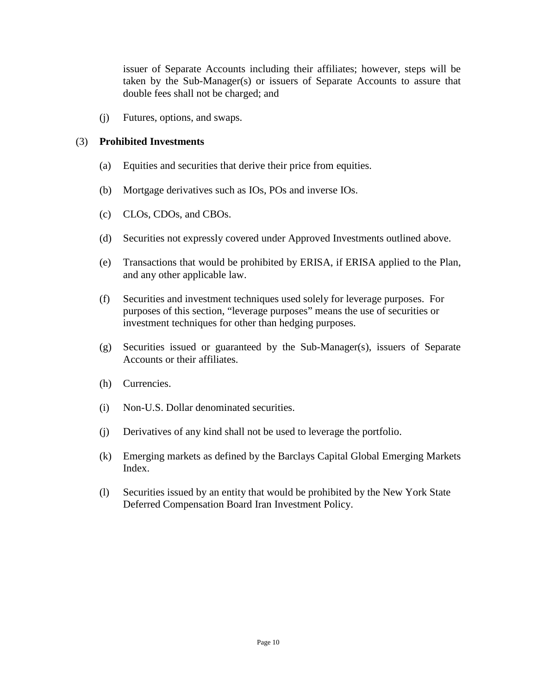issuer of Separate Accounts including their affiliates; however, steps will be taken by the Sub-Manager(s) or issuers of Separate Accounts to assure that double fees shall not be charged; and

(j) Futures, options, and swaps.

#### (3) **Prohibited Investments**

- (a) Equities and securities that derive their price from equities.
- (b) Mortgage derivatives such as IOs, POs and inverse IOs.
- (c) CLOs, CDOs, and CBOs.
- (d) Securities not expressly covered under Approved Investments outlined above.
- (e) Transactions that would be prohibited by ERISA, if ERISA applied to the Plan, and any other applicable law.
- (f) Securities and investment techniques used solely for leverage purposes. For purposes of this section, "leverage purposes" means the use of securities or investment techniques for other than hedging purposes.
- (g) Securities issued or guaranteed by the Sub-Manager(s), issuers of Separate Accounts or their affiliates.
- (h) Currencies.
- (i) Non-U.S. Dollar denominated securities.
- (j) Derivatives of any kind shall not be used to leverage the portfolio.
- (k) Emerging markets as defined by the Barclays Capital Global Emerging Markets Index.
- (l) Securities issued by an entity that would be prohibited by the New York State Deferred Compensation Board Iran Investment Policy.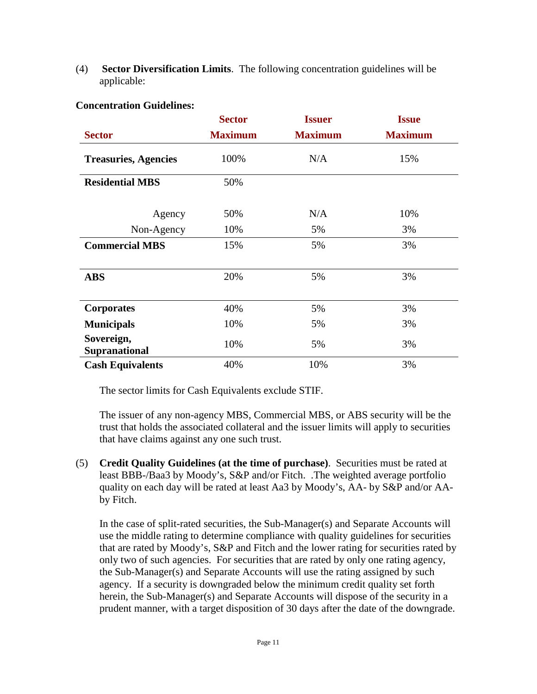(4) **Sector Diversification Limits**. The following concentration guidelines will be applicable:

|                                    | <b>Sector</b>  | <b>Issuer</b>  | <b>Issue</b>   |  |
|------------------------------------|----------------|----------------|----------------|--|
| <b>Sector</b>                      | <b>Maximum</b> | <b>Maximum</b> | <b>Maximum</b> |  |
| <b>Treasuries, Agencies</b>        | 100%           | N/A            | 15%            |  |
| <b>Residential MBS</b>             | 50%            |                |                |  |
| Agency                             | 50%            | N/A            | 10%            |  |
| Non-Agency                         | 10%            | 5%             | 3%             |  |
| <b>Commercial MBS</b>              | 15%            | 5%             | 3%             |  |
| <b>ABS</b>                         | 20%            | 5%             | 3%             |  |
| <b>Corporates</b>                  | 40%            | 5%             | 3%             |  |
| <b>Municipals</b>                  | 10%            | 5%             | 3%             |  |
| Sovereign,<br><b>Supranational</b> | 10%            | 5%             | 3%             |  |
| <b>Cash Equivalents</b>            | 40%            | 10%            | 3%             |  |

#### **Concentration Guidelines:**

The sector limits for Cash Equivalents exclude STIF.

The issuer of any non-agency MBS, Commercial MBS, or ABS security will be the trust that holds the associated collateral and the issuer limits will apply to securities that have claims against any one such trust.

(5) **Credit Quality Guidelines (at the time of purchase)**. Securities must be rated at least BBB-/Baa3 by Moody's, S&P and/or Fitch. .The weighted average portfolio quality on each day will be rated at least Aa3 by Moody's, AA- by S&P and/or AAby Fitch.

In the case of split-rated securities, the Sub-Manager(s) and Separate Accounts will use the middle rating to determine compliance with quality guidelines for securities that are rated by Moody's, S&P and Fitch and the lower rating for securities rated by only two of such agencies. For securities that are rated by only one rating agency, the Sub-Manager(s) and Separate Accounts will use the rating assigned by such agency. If a security is downgraded below the minimum credit quality set forth herein, the Sub-Manager(s) and Separate Accounts will dispose of the security in a prudent manner, with a target disposition of 30 days after the date of the downgrade.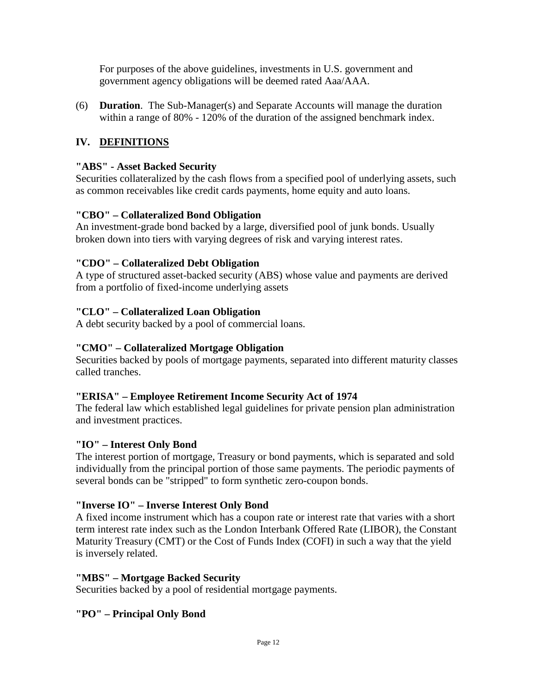For purposes of the above guidelines, investments in U.S. government and government agency obligations will be deemed rated Aaa/AAA.

(6) **Duration**. The Sub-Manager(s) and Separate Accounts will manage the duration within a range of 80% - 120% of the duration of the assigned benchmark index.

# **IV. DEFINITIONS**

## **"ABS" - Asset Backed Security**

Securities collateralized by the cash flows from a specified pool of underlying assets, such as common receivables like credit cards payments, home equity and auto loans.

## **"CBO" – Collateralized Bond Obligation**

An investment-grade bond backed by a large, diversified pool of junk bonds. Usually broken down into tiers with varying degrees of risk and varying interest rates.

### **"CDO" – Collateralized Debt Obligation**

A type of structured asset-backed security (ABS) whose value and payments are derived from a portfolio of fixed-income underlying assets

## **"CLO" – Collateralized Loan Obligation**

A debt security backed by a pool of commercial loans.

## **"CMO" – Collateralized Mortgage Obligation**

Securities backed by pools of mortgage payments, separated into different maturity classes called tranches.

## **"ERISA" – Employee Retirement Income Security Act of 1974**

The federal law which established legal guidelines for private pension plan administration and investment practices.

## **"IO" – Interest Only Bond**

The interest portion of mortgage, Treasury or bond payments, which is separated and sold individually from the principal portion of those same payments. The periodic payments of several bonds can be "stripped" to form synthetic zero-coupon bonds.

### **"Inverse IO" – Inverse Interest Only Bond**

A fixed income instrument which has a coupon rate or interest rate that varies with a short term interest rate index such as the London Interbank Offered Rate (LIBOR), the Constant Maturity Treasury (CMT) or the Cost of Funds Index (COFI) in such a way that the yield is inversely related.

### **"MBS" – Mortgage Backed Security**

Securities backed by a pool of residential mortgage payments.

## **"PO" – Principal Only Bond**